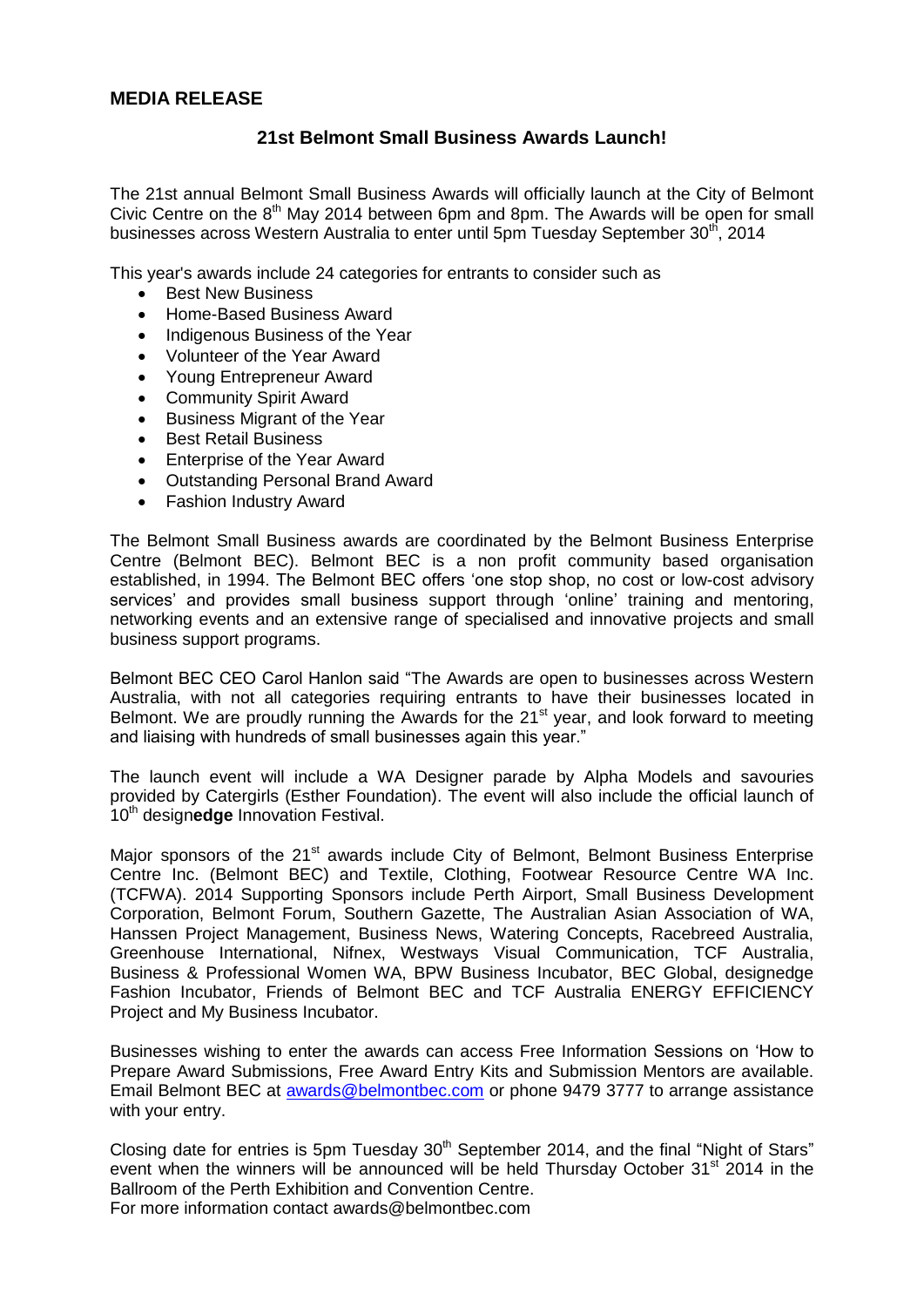## **MEDIA RELEASE**

## **21st Belmont Small Business Awards Launch!**

The 21st annual Belmont Small Business Awards will officially launch at the City of Belmont Civic Centre on the  $8<sup>th</sup>$  May 2014 between 6pm and 8pm. The Awards will be open for small businesses across Western Australia to enter until 5pm Tuesday September 30<sup>th</sup>, 2014

This year's awards include 24 categories for entrants to consider such as

- Best New Business
- Home-Based Business Award
- Indigenous Business of the Year
- Volunteer of the Year Award
- Young Entrepreneur Award
- Community Spirit Award
- Business Migrant of the Year
- **Best Retail Business**
- Enterprise of the Year Award
- Outstanding Personal Brand Award
- Fashion Industry Award

The Belmont Small Business awards are coordinated by the Belmont Business Enterprise Centre (Belmont BEC). Belmont BEC is a non profit community based organisation established, in 1994. The Belmont BEC offers 'one stop shop, no cost or low-cost advisory services' and provides small business support through 'online' training and mentoring, networking events and an extensive range of specialised and innovative projects and small business support programs.

Belmont BEC CEO Carol Hanlon said "The Awards are open to businesses across Western Australia, with not all categories requiring entrants to have their businesses located in Belmont. We are proudly running the Awards for the  $21<sup>st</sup>$  year, and look forward to meeting and liaising with hundreds of small businesses again this year."

The launch event will include a WA Designer parade by Alpha Models and savouries provided by Catergirls (Esther Foundation). The event will also include the official launch of 10<sup>th</sup> designedge Innovation Festival.

Major sponsors of the 21<sup>st</sup> awards include City of Belmont, Belmont Business Enterprise Centre Inc. (Belmont BEC) and Textile, Clothing, Footwear Resource Centre WA Inc. (TCFWA). 2014 Supporting Sponsors include Perth Airport, Small Business Development Corporation, Belmont Forum, Southern Gazette, The Australian Asian Association of WA, Hanssen Project Management, Business News, Watering Concepts, Racebreed Australia, Greenhouse International, Nifnex, Westways Visual Communication, TCF Australia, Business & Professional Women WA, BPW Business Incubator, BEC Global, designedge Fashion Incubator, Friends of Belmont BEC and TCF Australia ENERGY EFFICIENCY Project and My Business Incubator.

Businesses wishing to enter the awards can access Free Information Sessions on 'How to Prepare Award Submissions, Free Award Entry Kits and Submission Mentors are available. Email Belmont BEC at [awards@belmontbec.com](mailto:awards@belmontbec.com) or phone 9479 3777 to arrange assistance with your entry.

Closing date for entries is 5pm Tuesday  $30<sup>th</sup>$  September 2014, and the final "Night of Stars" event when the winners will be announced will be held Thursday October 31<sup>st</sup> 2014 in the Ballroom of the Perth Exhibition and Convention Centre.

For more information contact awards@belmontbec.com